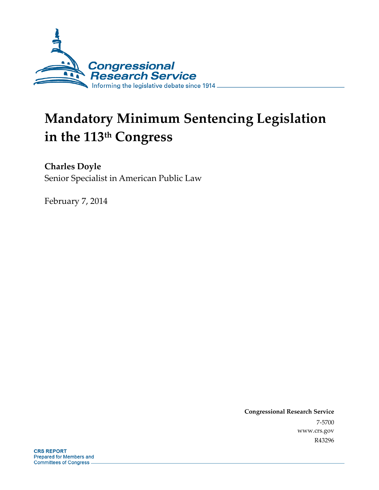

# **Mandatory Minimum Sentencing Legislation in the 113th Congress**

**Charles Doyle**  Senior Specialist in American Public Law

February 7, 2014

**Congressional Research Service**  7-5700 www.crs.gov R43296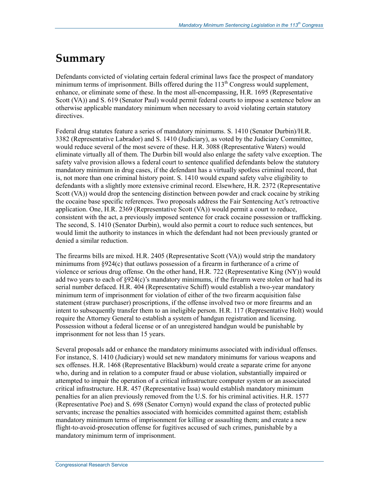# **Summary**

Defendants convicted of violating certain federal criminal laws face the prospect of mandatory minimum terms of imprisonment. Bills offered during the  $113<sup>th</sup>$  Congress would supplement, enhance, or eliminate some of these. In the most all-encompassing, H.R. 1695 (Representative Scott (VA)) and S. 619 (Senator Paul) would permit federal courts to impose a sentence below an otherwise applicable mandatory minimum when necessary to avoid violating certain statutory directives.

Federal drug statutes feature a series of mandatory minimums. S. 1410 (Senator Durbin)/H.R. 3382 (Representative Labrador) and S. 1410 (Judiciary), as voted by the Judiciary Committee, would reduce several of the most severe of these. H.R. 3088 (Representative Waters) would eliminate virtually all of them. The Durbin bill would also enlarge the safety valve exception. The safety valve provision allows a federal court to sentence qualified defendants below the statutory mandatory minimum in drug cases, if the defendant has a virtually spotless criminal record, that is, not more than one criminal history point. S. 1410 would expand safety valve eligibility to defendants with a slightly more extensive criminal record. Elsewhere, H.R. 2372 (Representative Scott (VA)) would drop the sentencing distinction between powder and crack cocaine by striking the cocaine base specific references. Two proposals address the Fair Sentencing Act's retroactive application. One, H.R. 2369 (Representative Scott (VA)) would permit a court to reduce, consistent with the act, a previously imposed sentence for crack cocaine possession or trafficking. The second, S. 1410 (Senator Durbin), would also permit a court to reduce such sentences, but would limit the authority to instances in which the defendant had not been previously granted or denied a similar reduction.

The firearms bills are mixed. H.R. 2405 (Representative Scott (VA)) would strip the mandatory minimums from §924(c) that outlaws possession of a firearm in furtherance of a crime of violence or serious drug offense. On the other hand, H.R. 722 (Representative King (NY)) would add two years to each of  $\S 924(c)$ 's mandatory minimums, if the firearm were stolen or had had its serial number defaced. H.R. 404 (Representative Schiff) would establish a two-year mandatory minimum term of imprisonment for violation of either of the two firearm acquisition false statement (straw purchaser) proscriptions, if the offense involved two or more firearms and an intent to subsequently transfer them to an ineligible person. H.R. 117 (Representative Holt) would require the Attorney General to establish a system of handgun registration and licensing. Possession without a federal license or of an unregistered handgun would be punishable by imprisonment for not less than 15 years.

Several proposals add or enhance the mandatory minimums associated with individual offenses. For instance, S. 1410 (Judiciary) would set new mandatory minimums for various weapons and sex offenses. H.R. 1468 (Representative Blackburn) would create a separate crime for anyone who, during and in relation to a computer fraud or abuse violation, substantially impaired or attempted to impair the operation of a critical infrastructure computer system or an associated critical infrastructure. H.R. 457 (Representative Issa) would establish mandatory minimum penalties for an alien previously removed from the U.S. for his criminal activities. H.R. 1577 (Representative Poe) and S. 698 (Senator Cornyn) would expand the class of protected public servants; increase the penalties associated with homicides committed against them; establish mandatory minimum terms of imprisonment for killing or assaulting them; and create a new flight-to-avoid-prosecution offense for fugitives accused of such crimes, punishable by a mandatory minimum term of imprisonment.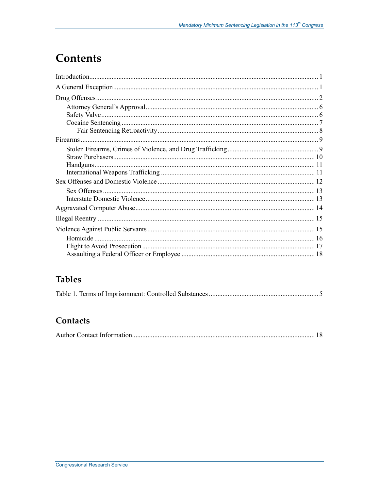# **Contents**

## **Tables**

|--|--|

## Contacts

|--|--|--|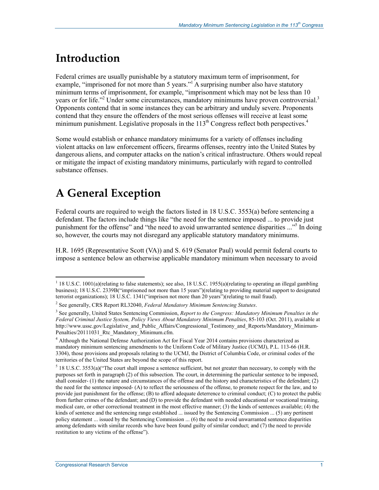# **Introduction**

Federal crimes are usually punishable by a statutory maximum term of imprisonment, for example, "imprisoned for not more than 5 years."<sup>1</sup> A surprising number also have statutory minimum terms of imprisonment, for example, "imprisonment which may not be less than 10 years or for life."<sup>2</sup> Under some circumstances, mandatory minimums have proven controversial.<sup>3</sup> Opponents contend that in some instances they can be arbitrary and unduly severe. Proponents contend that they ensure the offenders of the most serious offenses will receive at least some minimum punishment. Legislative proposals in the  $113<sup>th</sup>$  Congress reflect both perspectives.<sup>4</sup>

Some would establish or enhance mandatory minimums for a variety of offenses including violent attacks on law enforcement officers, firearms offenses, reentry into the United States by dangerous aliens, and computer attacks on the nation's critical infrastructure. Others would repeal or mitigate the impact of existing mandatory minimums, particularly with regard to controlled substance offenses.

# **A General Exception**

Federal courts are required to weigh the factors listed in 18 U.S.C. 3553(a) before sentencing a defendant. The factors include things like "the need for the sentence imposed ... to provide just punishment for the offense" and "the need to avoid unwarranted sentence disparities ..."<sup>5</sup> In doing so, however, the courts may not disregard any applicable statutory mandatory minimums.

H.R. 1695 (Representative Scott (VA)) and S. 619 (Senator Paul) would permit federal courts to impose a sentence below an otherwise applicable mandatory minimum when necessary to avoid

<sup>1&</sup>lt;br><sup>1</sup> 18 U.S.C. 1001(a)(relating to false statements); see also, 18 U.S.C. 1955(a)(relating to operating an illegal gambling business); 18 U.S.C. 2339B("imprisoned not more than 15 years")(relating to providing material support to designated terrorist organizations); 18 U.S.C. 1341("imprison not more than 20 years")(relating to mail fraud).

<sup>2</sup> See generally, CRS Report RL32040, *Federal Mandatory Minimum Sentencing Statutes*.

<sup>3</sup> See generally, United States Sentencing Commission, *Report to the Congress: Mandatory Minimum Penalties in the Federal Criminal Justice System, Policy Views About Mandatory Minimum Penalties*, 85-103 (Oct. 2011), available at http://www.ussc.gov/Legislative and Public Affairs/Congressional Testimony and Reports/Mandatory Minimum-Penalties/20111031\_Rtc\_Mandatory\_Minimum.cfm.

<sup>4</sup> Although the National Defense Authorization Act for Fiscal Year 2014 contains provisions characterized as mandatory minimum sentencing amendments to the Uniform Code of Military Justice (UCMJ), P.L. 113-66 (H.R. 3304), those provisions and proposals relating to the UCMJ, the District of Columbia Code, or criminal codes of the territories of the United States are beyond the scope of this report.

 $5$  18 U.S.C. 3553(a)("The court shall impose a sentence sufficient, but not greater than necessary, to comply with the purposes set forth in paragraph (2) of this subsection. The court, in determining the particular sentence to be imposed, shall consider- (1) the nature and circumstances of the offense and the history and characteristics of the defendant; (2) the need for the sentence imposed- (A) to reflect the seriousness of the offense, to promote respect for the law, and to provide just punishment for the offense; (B) to afford adequate deterrence to criminal conduct; (C) to protect the public from further crimes of the defendant; and (D) to provide the defendant with needed educational or vocational training, medical care, or other correctional treatment in the most effective manner; (3) the kinds of sentences available; (4) the kinds of sentence and the sentencing range established ... issued by the Sentencing Commission ... (5) any pertinent policy statement ... issued by the Sentencing Commission ... (6) the need to avoid unwarranted sentence disparities among defendants with similar records who have been found guilty of similar conduct; and (7) the need to provide restitution to any victims of the offense").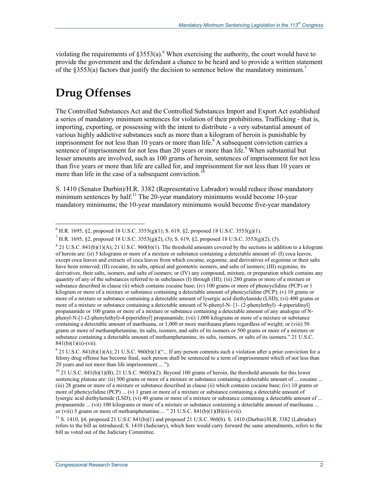violating the requirements of  $\S 3553(a)$ . When exercising the authority, the court would have to provide the government and the defendant a chance to be heard and to provide a written statement of the  $\S 3553(a)$  factors that justify the decision to sentence below the mandatory minimum.<sup>7</sup>

# **Drug Offenses**

The Controlled Substances Act and the Controlled Substances Import and Export Act established a series of mandatory minimum sentences for violation of their prohibitions. Trafficking - that is, importing, exporting, or possessing with the intent to distribute - a very substantial amount of various highly addictive substances such as more than a kilogram of heroin is punishable by imprisonment for not less than 10 years or more than life.<sup>8</sup> A subsequent conviction carries a sentence of imprisonment for not less than 20 years or more than life.<sup>9</sup> When substantial but lesser amounts are involved, such as 100 grams of heroin, sentences of imprisonment for not less than five years or more than life are called for, and imprisonment for not less than 10 years or more than life in the case of a subsequent conviction.<sup>10</sup>

S. 1410 (Senator Durbin)/H.R. 3382 (Representative Labrador) would reduce those mandatory minimum sentences by half.<sup>11</sup> The 20-year mandatory minimums would become 10-year mandatory minimums; the 10-year mandatory minimums would become five-year mandatory

<sup>&</sup>lt;u>.</u>  $^{6}$  H.R. 1695, §2, proposed 18 U.S.C. 3553(g)(1); S. 619, §2, proposed 18 U.S.C. 3553(g)(1).

<sup>&</sup>lt;sup>7</sup> H.R. 1695, §2, proposed 18 U.S.C. 3553(g)(2), (3); S. 619, §2, proposed 18 U.S.C. 3553(g)(2), (3).

 $821$  U.S.C. 841(b)(1)(A); 21 U.S.C. 960(b)(1). The threshold amounts covered by the sections in addition to a kilogram of heroin are: (ii) 5 kilograms or more of a mixture or substance containing a detectable amount of- (I) coca leaves, except coca leaves and extracts of coca leaves from which cocaine, ecgonine, and derivatives of ecgonine or their salts have been removed; (II) cocaine, its salts, optical and geometric isomers, and salts of isomers; (III) ecgonine, its derivatives, their salts, isomers, and salts of isomers; or (IV) any compound, mixture, or preparation which contains any quantity of any of the substances referred to in subclauses (I) through (III); (iii) 280 grams or more of a mixture or substance described in clause (ii) which contains cocaine base; (iv) 100 grams or more of phencyclidine (PCP) or 1 kilogram or more of a mixture or substance containing a detectable amount of phencyclidine (PCP); (v) 10 grams or more of a mixture or substance containing a detectable amount of lysergic acid diethylamide (LSD); (vi) 400 grams or more of a mixture or substance containing a detectable amount of N-phenyl-N- [1- (2-phenylethyl) -4-piperidinyl] propanamide or 100 grams or more of a mixture or substance containing a detectable amount of any analogue of Nphenyl-N-[1-(2-phenylethyl)-4-piperidinyl] propanamide; (vii) 1,000 kilograms or more of a mixture or substance containing a detectable amount of marihuana, or 1,000 or more marihuana plants regardless of weight; or (viii) 50 grams or more of methamphetamine, its salts, isomers, and salts of its isomers or 500 grams or more of a mixture or substance containing a detectable amount of methamphetamine, its salts, isomers, or salts of its isomers." 21 U.S.C.  $841(b)(1)(ii)$ -(vii).

 $9$  21 U.S.C. 841(b)(1)(A); 21 U.S.C. 960(b)(1)("... If any person commits such a violation after a prior conviction for a felony drug offense has become final, such person shall be sentenced to a term of imprisonment which of not less than 20 years and not more than life imprisonment.... ").

 $10$  21 U.S.C. 841(b)(1)(B); 21 U.S.C. 960(b)(2). Beyond 100 grams of heroin, the threshold amounts for this lower sentencing plateau are: (ii) 500 grams or more of a mixture or substance containing a detectable amount of ... cocaine ... (iii) 28 grams or more of a mixture or substance described in clause (ii) which contains cocaine base; (iv) 10 grams or more of phencyclidine (PCP) ... (v) 1 gram or more of a mixture or substance containing a detectable amount of lysergic acid diethylamide (LSD); (vi) 40 grams or more of a mixture or substance containing a detectable amount of ... propanamide ... (vii) 100 kilograms or more of a mixture or substance containing a detectable amount of marihuana ... or (viii) 5 grams or more of methamphetamine.... " 21 U.S.C.  $841(b)(1)(B)(ii)$ -(vii).

<sup>11</sup> S. 1410, §4, proposed 21 U.S.C 841(b)(1) and proposed 21 U.S.C. 960(b). S. 1410 (Durbin)/H.R. 3382 (Labrador) refers to the bill as introduced; S. 1410 (Judiciary), which here would carry forward the same amendments, refers to the bill as voted out of the Judiciary Committee.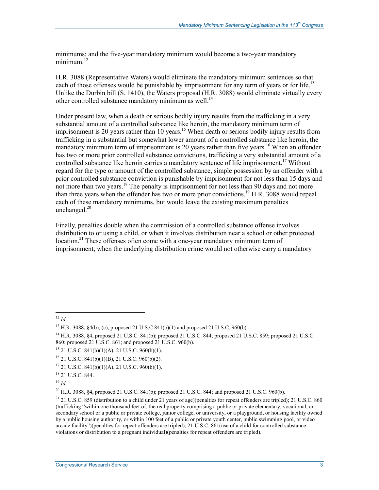minimums; and the five-year mandatory minimum would become a two-year mandatory minimum. $^{12}$ 

H.R. 3088 (Representative Waters) would eliminate the mandatory minimum sentences so that each of those offenses would be punishable by imprisonment for any term of years or for life.<sup>13</sup> Unlike the Durbin bill (S. 1410), the Waters proposal (H.R. 3088) would eliminate virtually every other controlled substance mandatory minimum as well.<sup>14</sup>

Under present law, when a death or serious bodily injury results from the trafficking in a very substantial amount of a controlled substance like heroin, the mandatory minimum term of imprisonment is 20 years rather than 10 years.<sup>15</sup> When death or serious bodily injury results from trafficking in a substantial but somewhat lower amount of a controlled substance like heroin, the mandatory minimum term of imprisonment is 20 years rather than five years.<sup>16</sup> When an offender has two or more prior controlled substance convictions, trafficking a very substantial amount of a controlled substance like heroin carries a mandatory sentence of life imprisonment.<sup>17</sup> Without regard for the type or amount of the controlled substance, simple possession by an offender with a prior controlled substance conviction is punishable by imprisonment for not less than 15 days and not more than two years.<sup>18</sup> The penalty is imprisonment for not less than 90 days and not more than three years when the offender has two or more prior convictions.<sup>19</sup> H.R. 3088 would repeal each of these mandatory minimums, but would leave the existing maximum penalties unchanged. $20$ 

Finally, penalties double when the commission of a controlled substance offense involves distribution to or using a child, or when it involves distribution near a school or other protected location.<sup>21</sup> These offenses often come with a one-year mandatory minimum term of imprisonment, when the underlying distribution crime would not otherwise carry a mandatory

<sup>20</sup> H.R. 3088, §4, proposed 21 U.S.C. 841(b); proposed 21 U.S.C. 844; and proposed 21 U.S.C. 960(b).

<sup>&</sup>lt;u>.</u>  $^{12}$  *Id.* 

<sup>13</sup> H.R. 3088, §4(b), (c), proposed 21 U.S.C 841(b)(1) and proposed 21 U.S.C. 960(b).

<sup>14</sup> H.R. 3088, §4, proposed 21 U.S.C. 841(b); proposed 21 U.S.C. 844; proposed 21 U.S.C. 859; proposed 21 U.S.C. 860; proposed 21 U.S.C. 861; and proposed 21 U.S.C. 960(b).

 $15$  21 U.S.C. 841(b)(1)(A), 21 U.S.C. 960(b)(1).

 $16$  21 U.S.C. 841(b)(1)(B), 21 U.S.C. 960(b)(2).

 $17$  21 U.S.C. 841(b)(1)(A), 21 U.S.C. 960(b)(1).

<sup>18 21</sup> U.S.C. 844.

 $19$  *Id.* 

 $21$  21 U.S.C. 859 (distribution to a child under 21 years of age)(penalties for repeat offenders are tripled); 21 U.S.C. 860 (trafficking "within one thousand feet of, the real property comprising a public or private elementary, vocational, or secondary school or a public or private college, junior college, or university, or a playground, or housing facility owned by a public housing authority, or within 100 feet of a public or private youth center, public swimming pool, or video arcade facility")(penalties for repeat offenders are tripled); 21 U.S.C. 861(use of a child for controlled substance violations or distribution to a pregnant individual)(penalties for repeat offenders are tripled).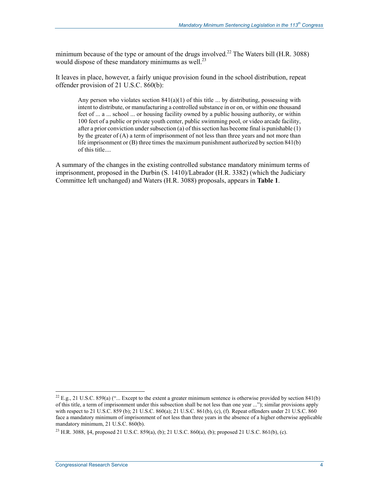minimum because of the type or amount of the drugs involved.<sup>22</sup> The Waters bill (H.R. 3088) would dispose of these mandatory minimums as well.<sup>23</sup>

It leaves in place, however, a fairly unique provision found in the school distribution, repeat offender provision of 21 U.S.C. 860(b):

Any person who violates section  $841(a)(1)$  of this title ... by distributing, possessing with intent to distribute, or manufacturing a controlled substance in or on, or within one thousand feet of ... a ... school ... or housing facility owned by a public housing authority, or within 100 feet of a public or private youth center, public swimming pool, or video arcade facility, after a prior conviction under subsection (a) of this section has become final is punishable (1) by the greater of (A) a term of imprisonment of not less than three years and not more than life imprisonment or (B) three times the maximum punishment authorized by section 841(b) of this title....

A summary of the changes in the existing controlled substance mandatory minimum terms of imprisonment, proposed in the Durbin (S. 1410)/Labrador (H.R. 3382) (which the Judiciary Committee left unchanged) and Waters (H.R. 3088) proposals, appears in **Table 1**.

<sup>&</sup>lt;sup>22</sup> E.g., 21 U.S.C. 859(a) ("... Except to the extent a greater minimum sentence is otherwise provided by section 841(b) of this title, a term of imprisonment under this subsection shall be not less than one year ..."); similar provisions apply with respect to 21 U.S.C. 859 (b); 21 U.S.C. 860(a); 21 U.S.C. 861(b), (c), (f). Repeat offenders under 21 U.S.C. 860 face a mandatory minimum of imprisonment of not less than three years in the absence of a higher otherwise applicable mandatory minimum, 21 U.S.C. 860(b).

<sup>23</sup> H.R. 3088, §4, proposed 21 U.S.C. 859(a), (b); 21 U.S.C. 860(a), (b); proposed 21 U.S.C. 861(b), (c).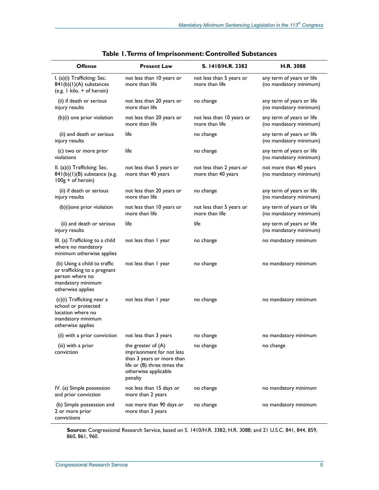| <b>Offense</b>                                                                                                            | <b>Present Law</b>                                                                                                                               | S. 1410/H.R. 3382                              | H.R. 3088                                           |
|---------------------------------------------------------------------------------------------------------------------------|--------------------------------------------------------------------------------------------------------------------------------------------------|------------------------------------------------|-----------------------------------------------------|
| I. (a)(i) Trafficking: Sec.<br>841(b)(1)(A) substances<br>(e.g. 1 kilo. + of heroin)                                      | not less than 10 years or<br>more than life                                                                                                      | not less than 5 years or<br>more than life     | any term of years or life<br>(no mandatory minimum) |
| (ii) if death or serious<br>injury results                                                                                | not less than 20 years or<br>more than life                                                                                                      | no change                                      | any term of years or life<br>(no mandatory minimum) |
| (b)(i) one prior violation                                                                                                | not less than 20 years or<br>more than life                                                                                                      | not less than 10 years or<br>more than life    | any term of years or life<br>(no mandatory minimum) |
| (ii) and death or serious<br>injury results                                                                               | life                                                                                                                                             | no change                                      | any term of years or life<br>(no mandatory minimum) |
| (c) two or more prior<br>violations                                                                                       | life                                                                                                                                             | no change                                      | any term of years or life<br>(no mandatory minimum) |
| II. (a)(i) Trafficking: Sec.<br>841(b)(1)(B) substance (e.g.<br>100g + of heroin)                                         | not less than 5 years or<br>more than 40 years                                                                                                   | not less than 2 years or<br>more than 40 years | not more than 40 years<br>(no mandatory minimum)    |
| (ii) if death or serious<br>injury results                                                                                | not less than 20 years or<br>more than life                                                                                                      | no change                                      | any term of years or life<br>(no mandatory minimum) |
| (b)(i)one prior violation                                                                                                 | not less than 10 years or<br>more than life                                                                                                      | not less than 5 years or<br>more than life     | any term of years or life<br>(no mandatory minimum) |
| (ii) and death or serious<br>injury results                                                                               | life                                                                                                                                             | life                                           | any term of years or life<br>(no mandatory minimum) |
| III. (a) Trafficking to a child<br>where no mandatory<br>minimum otherwise applies                                        | not less than I year                                                                                                                             | no change                                      | no mandatory minimum                                |
| (b) Using a child to traffic<br>or trafficking to a pregnant<br>person where no<br>mandatory minimum<br>otherwise applies | not less than I year                                                                                                                             | no change                                      | no mandatory minimum                                |
| (c)(i) Trafficking near a<br>school or protected<br>location where no<br>mandatory minimum<br>otherwise applies           | not less than I year                                                                                                                             | no change                                      | no mandatory minimum                                |
| (ii) with a prior conviction not less than 3 years                                                                        |                                                                                                                                                  | no change                                      | no mandatory minimum                                |
| (iii) with a prior<br>conviction                                                                                          | the greater of $(A)$<br>imprisonment for not less<br>than 3 years or more than<br>life or (B) three times the<br>otherwise applicable<br>penalty | no change                                      | no change                                           |
| IV. (a) Simple possession<br>and prior conviction                                                                         | not less than 15 days or<br>more than 2 years                                                                                                    | no change                                      | no mandatory minimum                                |
| (b) Simple possession and<br>2 or more prior<br>convictions                                                               | not more than 90 days or<br>more than 3 years                                                                                                    | no change                                      | no mandatory minimum                                |

**Source:** Congressional Research Service, based on S. 1410/H.R. 3382; H.R. 3088; and 21 U.S.C. 841, 844, 859, 860, 861, 960.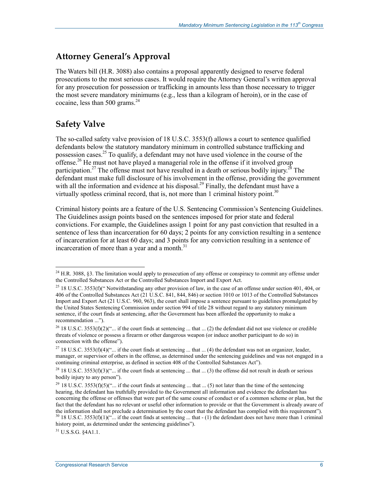## **Attorney General's Approval**

The Waters bill (H.R. 3088) also contains a proposal apparently designed to reserve federal prosecutions to the most serious cases. It would require the Attorney General's written approval for any prosecution for possession or trafficking in amounts less than those necessary to trigger the most severe mandatory minimums (e.g., less than a kilogram of heroin), or in the case of cocaine, less than 500 grams. $^{24}$ 

## **Safety Valve**

1

The so-called safety valve provision of 18 U.S.C. 3553(f) allows a court to sentence qualified defendants below the statutory mandatory minimum in controlled substance trafficking and possession cases.<sup>25</sup> To qualify, a defendant may not have used violence in the course of the offense.<sup>26</sup> He must not have played a managerial role in the offense if it involved group participation.<sup>27</sup> The offense must not have resulted in a death or serious bodily injury.<sup>28</sup> The defendant must make full disclosure of his involvement in the offense, providing the government with all the information and evidence at his disposal.<sup>29</sup> Finally, the defendant must have a virtually spotless criminal record, that is, not more than 1 criminal history point.<sup>30</sup>

Criminal history points are a feature of the U.S. Sentencing Commission's Sentencing Guidelines. The Guidelines assign points based on the sentences imposed for prior state and federal convictions. For example, the Guidelines assign 1 point for any past conviction that resulted in a sentence of less than incarceration for 60 days; 2 points for any conviction resulting in a sentence of incarceration for at least 60 days; and 3 points for any conviction resulting in a sentence of incarceration of more than a year and a month. $31$ 

31 U.S.S.G. §4A1.1.

 $^{24}$  H.R. 3088, §3. The limitation would apply to prosecution of any offense or conspiracy to commit any offense under the Controlled Substances Act or the Controlled Substances Import and Export Act.

<sup>&</sup>lt;sup>25</sup> 18 U.S.C. 3553(f)(" Notwithstanding any other provision of law, in the case of an offense under section 401, 404, or 406 of the Controlled Substances Act (21 U.S.C. 841, 844, 846) or section 1010 or 1013 of the Controlled Substances Import and Export Act (21 U.S.C. 960, 963), the court shall impose a sentence pursuant to guidelines promulgated by the United States Sentencing Commission under section 994 of title 28 without regard to any statutory minimum sentence, if the court finds at sentencing, after the Government has been afforded the opportunity to make a recommendation ...").

<sup>&</sup>lt;sup>26</sup> 18 U.S.C. 3553(f)(2)("... if the court finds at sentencing ... that ... (2) the defendant did not use violence or credible threats of violence or possess a firearm or other dangerous weapon (or induce another participant to do so) in connection with the offense").

<sup>&</sup>lt;sup>27</sup> 18 U.S.C. 3553(f)(4)("... if the court finds at sentencing ... that ... (4) the defendant was not an organizer, leader, manager, or supervisor of others in the offense, as determined under the sentencing guidelines and was not engaged in a continuing criminal enterprise, as defined in section 408 of the Controlled Substances Act").

<sup>&</sup>lt;sup>28</sup> 18 U.S.C. 3553(f)(3)("... if the court finds at sentencing ... that ... (3) the offense did not result in death or serious bodily injury to any person").

<sup>&</sup>lt;sup>29</sup> 18 U.S.C. 3553(f)(5)("... if the court finds at sentencing ... that ... (5) not later than the time of the sentencing hearing, the defendant has truthfully provided to the Government all information and evidence the defendant has concerning the offense or offenses that were part of the same course of conduct or of a common scheme or plan, but the fact that the defendant has no relevant or useful other information to provide or that the Government is already aware of the information shall not preclude a determination by the court that the defendant has complied with this requirement").<br><sup>30</sup> 18 U.S.C. 3553(f)(1)("... if the court finds at sentencing ... that - (1) the defendant does no

history point, as determined under the sentencing guidelines").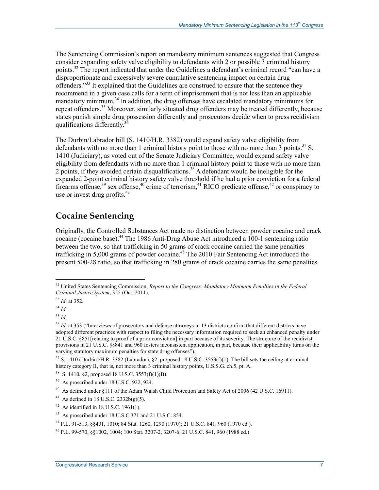The Sentencing Commission's report on mandatory minimum sentences suggested that Congress consider expanding safety valve eligibility to defendants with 2 or possible 3 criminal history points.<sup>32</sup> The report indicated that under the Guidelines a defendant's criminal record "can have a disproportionate and excessively severe cumulative sentencing impact on certain drug offenders."<sup>33</sup> It explained that the Guidelines are construed to ensure that the sentence they recommend in a given case calls for a term of imprisonment that is not less than an applicable mandatory minimum.<sup>34</sup> In addition, the drug offenses have escalated mandatory minimums for repeat offenders.<sup>35</sup> Moreover, similarly situated drug offenders may be treated differently, because states punish simple drug possession differently and prosecutors decide when to press recidivism qualifications differently.<sup>3</sup>

The Durbin/Labrador bill (S. 1410/H.R. 3382) would expand safety valve eligibility from defendants with no more than 1 criminal history point to those with no more than 3 points.<sup>37</sup> S. 1410 (Judiciary), as voted out of the Senate Judiciary Committee, would expand safety valve eligibility from defendants with no more than 1 criminal history point to those with no more than 2 points, if they avoided certain disqualifications.<sup>38</sup> A defendant would be ineligible for the expanded 2-point criminal history safety valve threshold if he had a prior conviction for a federal firearms offense,<sup>39</sup> sex offense,<sup>40</sup> crime of terrorism,<sup>41</sup> RICO predicate offense,<sup>42</sup> or conspiracy to use or invest drug profits. $43$ 

## **Cocaine Sentencing**

Originally, the Controlled Substances Act made no distinction between powder cocaine and crack cocaine (cocaine base).<sup>44</sup> The 1986 Anti-Drug Abuse Act introduced a 100-1 sentencing ratio between the two, so that trafficking in 50 grams of crack cocaine carried the same penalties trafficking in 5,000 grams of powder cocaine.<sup>45</sup> The 2010 Fair Sentencing Act introduced the present 500-28 ratio, so that trafficking in 280 grams of crack cocaine carries the same penalties

<sup>32</sup> United States Sentencing Commission, *Report to the Congress: Mandatory Minimum Penalties in the Federal Criminal Justice System*, 355 (Oct. 2011).

<sup>33</sup> *Id*. at 352.

<sup>34</sup> *Id.* 

<sup>35</sup> *Id.* 

<sup>36</sup> *Id*. at 353 ("Interviews of prosecutors and defense attorneys in 13 districts confirm that different districts have adopted different practices with respect to filing the necessary information required to seek an enhanced penalty under 21 U.S.C. §851[relating to proof of a prior conviction] in part because of its severity. The structure of the recidivist provisions in 21 U.S.C. §§841 and 960 fosters inconsistent application, in part, because their applicability turns on the varying statutory maximum penalties for state drug offenses<sup>"</sup>).

 $37\,$  S. 1410 (Durbin)/H.R. 3382 (Labrador), §2, proposed 18 U.S.C. 3553(f)(1). The bill sets the ceiling at criminal history category II, that is, not more than 3 criminal history points, U.S.S.G. ch.5, pt. A.

<sup>38</sup> S. 1410, §2, proposed 18 U.S.C. 3553(f)(1)(B).

 $39$  As proscribed under 18 U.S.C. 922, 924.

<sup>&</sup>lt;sup>40</sup> As defined under §111 of the Adam Walsh Child Protection and Safety Act of 2006 (42 U.S.C. 16911).

<sup>&</sup>lt;sup>41</sup> As defined in 18 U.S.C.  $2332b(g)(5)$ .

 $42$  As identified in 18 U.S.C. 1961(1).

<sup>43</sup> As proscribed under 18 U.S.C 371 and 21 U.S.C. 854.

<sup>44</sup> P.L. 91-513, §§401, 1010; 84 Stat. 1260, 1290 (1970); 21 U.S.C. 841, 960 (1970 ed.).

<sup>45</sup> P.L. 99-570, §§1002, 1004; 100 Stat. 3207-2, 3207-6; 21 U.S.C. 841, 960 (1988 ed.)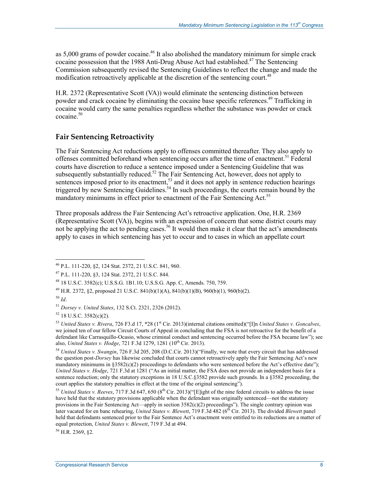as  $5,000$  grams of powder cocaine.<sup>46</sup> It also abolished the mandatory minimum for simple crack cocaine possession that the 1988 Anti-Drug Abuse Act had established.<sup>47</sup> The Sentencing Commission subsequently revised the Sentencing Guidelines to reflect the change and made the modification retroactively applicable at the discretion of the sentencing court.<sup>48</sup>

H.R. 2372 (Representative Scott (VA)) would eliminate the sentencing distinction between powder and crack cocaine by eliminating the cocaine base specific references.<sup>49</sup> Trafficking in cocaine would carry the same penalties regardless whether the substance was powder or crack  $cocaine<sup>50</sup>$ 

#### **Fair Sentencing Retroactivity**

The Fair Sentencing Act reductions apply to offenses committed thereafter. They also apply to offenses committed beforehand when sentencing occurs after the time of enactment.<sup>51</sup> Federal courts have discretion to reduce a sentence imposed under a Sentencing Guideline that was subsequently substantially reduced.<sup>52</sup> The Fair Sentencing Act, however, does not apply to sentences imposed prior to its enactment,  $5<sup>3</sup>$  and it does not apply in sentence reduction hearings triggered by new Sentencing Guidelines.<sup>54</sup> In such proceedings, the courts remain bound by the mandatory minimums in effect prior to enactment of the Fair Sentencing Act.<sup>55</sup>

Three proposals address the Fair Sentencing Act's retroactive application. One, H.R. 2369 (Representative Scott (VA)), begins with an expression of concern that some district courts may not be applying the act to pending cases.<sup>56</sup> It would then make it clear that the act's amendments apply to cases in which sentencing has yet to occur and to cases in which an appellate court

1

56 H.R. 2369, §2.

<sup>46</sup> P.L. 111-220, §2, 124 Stat. 2372, 21 U.S.C. 841, 960.

<sup>47</sup> P.L. 111-220, §3, 124 Stat. 2372, 21 U.S.C. 844.

<sup>48 18</sup> U.S.C. 3582(c); U.S.S.G. 1B1.10; U.S.S.G. App. C, Amends. 750, 759.

<sup>49</sup> H.R. 2372, §2, proposed 21 U.S.C. 841(b)(1)(A), 841(b)(1)(B), 960(b)(1), 960(b)(2).

<sup>50</sup> *Id*.

<sup>51</sup> *Dorsey v. United States*, 132 S.Ct. 2321, 2326 (2012).

<sup>52 18</sup> U.S.C. 3582(c)(2).

<sup>53</sup> *United States v. Rivera*, 726 F3.d 17, \*28 (1st Cir. 2013)(internal citations omitted)("[I]n *United States v. Goncalves*, we joined ten of our fellow Circuit Courts of Appeal in concluding that the FSA is not retroactive for the benefit of a defendant like Carrasquillo-Ocasio, whose criminal conduct and sentencing occurred before the FSA became law"); see also, *United States v. Hodge*, 721 F.3d 1279, 1281 (10<sup>th</sup> Cir. 2013).

<sup>54</sup> *United States v. Swangin*, 726 F.3d 205, 208 (D.C.Cir. 2013)("Finally, we note that every circuit that has addressed the question post-*Dorsey* has likewise concluded that courts cannot retroactively apply the Fair Sentencing Act's new mandatory minimums in  $\S 3582(c)(2)$  proceedings to defendants who were sentenced before the Act's effective date"); *United States v. Hodge*, 721 F.3d at 1281 ("As an initial matter, the FSA does not provide an independent basis for a sentence reduction; only the statutory exceptions in 18 U.S.C.§3582 provide such grounds. In a §3582 proceeding, the court applies the statutory penalties in effect at the time of the original sentencing").

<sup>&</sup>lt;sup>55</sup> *United States v. Reeves*, 717 F.3d 647, 650 (8<sup>th</sup> Cir. 2013)("[E]ight of the nine federal circuits to address the issue have held that the statutory provisions applicable when the defendant was originally sentenced—not the statutory provisions in the Fair Sentencing Act—apply in section 3582(c)(2) proceedings"). The single contrary opinion was later vacated for en banc rehearing, *United States v. Blewett*, 719 F.3d 482 (6<sup>th</sup> Cir. 2013). The divided *Blewett* panel held that defendants sentenced prior to the Fair Sentence Act's enactment were entitled to its reductions are a matter of equal protection, *United States v. Blewett*, 719 F.3d at 494.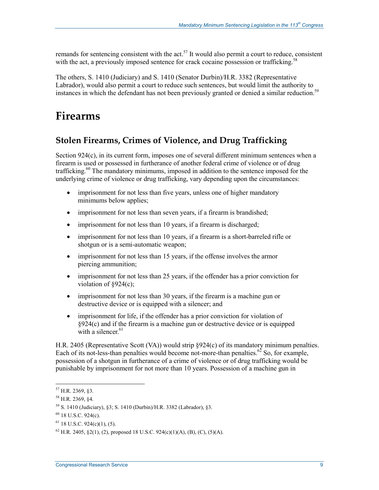remands for sentencing consistent with the act.<sup>57</sup> It would also permit a court to reduce, consistent with the act, a previously imposed sentence for crack cocaine possession or trafficking.<sup>58</sup>

The others, S. 1410 (Judiciary) and S. 1410 (Senator Durbin)/H.R. 3382 (Representative Labrador), would also permit a court to reduce such sentences, but would limit the authority to instances in which the defendant has not been previously granted or denied a similar reduction.<sup>59</sup>

# **Firearms**

## **Stolen Firearms, Crimes of Violence, and Drug Trafficking**

Section  $924(c)$ , in its current form, imposes one of several different minimum sentences when a firearm is used or possessed in furtherance of another federal crime of violence or of drug trafficking.<sup>60</sup> The mandatory minimums, imposed in addition to the sentence imposed for the underlying crime of violence or drug trafficking, vary depending upon the circumstances:

- imprisonment for not less than five years, unless one of higher mandatory minimums below applies;
- imprisonment for not less than seven years, if a firearm is brandished;
- imprisonment for not less than 10 years, if a firearm is discharged;
- imprisonment for not less than 10 years, if a firearm is a short-barreled rifle or shotgun or is a semi-automatic weapon;
- imprisonment for not less than 15 years, if the offense involves the armor piercing ammunition;
- imprisonment for not less than 25 years, if the offender has a prior conviction for violation of  $§924(c)$ ;
- imprisonment for not less than 30 years, if the firearm is a machine gun or destructive device or is equipped with a silencer; and
- imprisonment for life, if the offender has a prior conviction for violation of §924(c) and if the firearm is a machine gun or destructive device or is equipped with a silencer. $61$

H.R. 2405 (Representative Scott (VA)) would strip §924(c) of its mandatory minimum penalties. Each of its not-less-than penalties would become not-more-than penalties.<sup>62</sup> So, for example, possession of a shotgun in furtherance of a crime of violence or of drug trafficking would be punishable by imprisonment for not more than 10 years. Possession of a machine gun in

<sup>57</sup> H.R. 2369, §3.

<sup>58</sup> H.R. 2369, §4.

<sup>59</sup> S. 1410 (Judiciary), §3; S. 1410 (Durbin)/H.R. 3382 (Labrador), §3.

<sup>60 18</sup> U.S.C. 924(c).

 $61$  18 U.S.C. 924(c)(1), (5).

 $^{62}$  H.R. 2405, §2(1), (2), proposed 18 U.S.C. 924(c)(1)(A), (B), (C), (5)(A).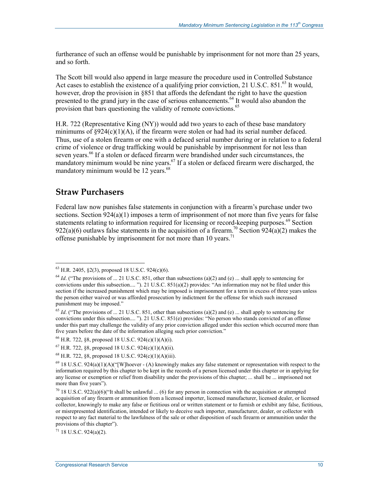furtherance of such an offense would be punishable by imprisonment for not more than 25 years, and so forth.

The Scott bill would also append in large measure the procedure used in Controlled Substance Act cases to establish the existence of a qualifying prior conviction, 21 U.S.C. 851.<sup>63</sup> It would, however, drop the provision in §851 that affords the defendant the right to have the question presented to the grand jury in the case of serious enhancements.<sup>64</sup> It would also abandon the provision that bars questioning the validity of remote convictions.<sup>65</sup>

H.R. 722 (Representative King (NY)) would add two years to each of these base mandatory minimums of  $\S 924(c)(1)(A)$ , if the firearm were stolen or had had its serial number defaced. Thus, use of a stolen firearm or one with a defaced serial number during or in relation to a federal crime of violence or drug trafficking would be punishable by imprisonment for not less than seven years.<sup>66</sup> If a stolen or defaced firearm were brandished under such circumstances, the mandatory minimum would be nine years.<sup>67</sup> If a stolen or defaced firearm were discharged, the mandatory minimum would be 12 years.<sup>68</sup>

#### **Straw Purchasers**

1

Federal law now punishes false statements in conjunction with a firearm's purchase under two sections. Section  $924(a)(1)$  imposes a term of imprisonment of not more than five years for false statements relating to information required for licensing or record-keeping purposes.<sup>69</sup> Section 922(a)(6) outlaws false statements in the acquisition of a firearm.<sup>70</sup> Section 924(a)(2) makes the offense punishable by imprisonment for not more than 10 years.<sup>71</sup>

 $63$  H.R. 2405, §2(3), proposed 18 U.S.C. 924(c)(6).

<sup>&</sup>lt;sup>64</sup> *Id.* ("The provisions of ... 21 U.S.C. 851, other than subsections (a)(2) and (e) ... shall apply to sentencing for convictions under this subsection.... "). 21 U.S.C. 851(a)(2) provides: "An information may not be filed under this section if the increased punishment which may be imposed is imprisonment for a term in excess of three years unless the person either waived or was afforded prosecution by indictment for the offense for which such increased punishment may be imposed."

<sup>&</sup>lt;sup>65</sup> *Id.* ("The provisions of ... 21 U.S.C. 851, other than subsections (a)(2) and (e) ... shall apply to sentencing for convictions under this subsection.... "). 21 U.S.C. 851(e) provides: "No person who stands convicted of an offense under this part may challenge the validity of any prior conviction alleged under this section which occurred more than five years before the date of the information alleging such prior conviction."

 $^{66}$  H.R. 722, §8, proposed 18 U.S.C. 924(c)(1)(A)(i).

 $^{67}$  H.R. 722, §8, proposed 18 U.S.C. 924(c)(1)(A)(ii).

 $^{68}$  H.R. 722, §8, proposed 18 U.S.C. 924(c)(1)(A)(iii).

 $^{69}$  18 U.S.C. 924(a)(1)(A)("[W]hoever - (A) knowingly makes any false statement or representation with respect to the information required by this chapter to be kept in the records of a person licensed under this chapter or in applying for any license or exemption or relief from disability under the provisions of this chapter; ... shall be ... imprisoned not more than five years").

 $70$  18 U.S.C. 922(a)(6)("It shall be unlawful ... (6) for any person in connection with the acquisition or attempted acquisition of any firearm or ammunition from a licensed importer, licensed manufacturer, licensed dealer, or licensed collector, knowingly to make any false or fictitious oral or written statement or to furnish or exhibit any false, fictitious, or misrepresented identification, intended or likely to deceive such importer, manufacturer, dealer, or collector with respect to any fact material to the lawfulness of the sale or other disposition of such firearm or ammunition under the provisions of this chapter").

 $71$  18 U.S.C. 924(a)(2).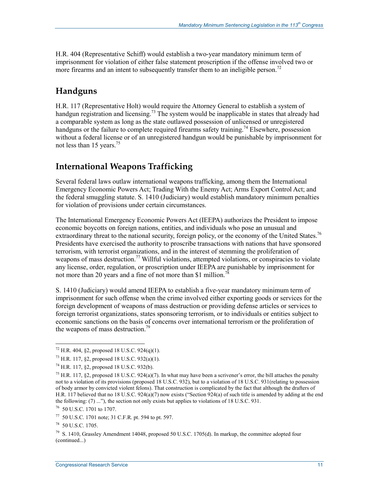H.R. 404 (Representative Schiff) would establish a two-year mandatory minimum term of imprisonment for violation of either false statement proscription if the offense involved two or more firearms and an intent to subsequently transfer them to an ineligible person.<sup>72</sup>

## **Handguns**

H.R. 117 (Representative Holt) would require the Attorney General to establish a system of handgun registration and licensing.<sup>73</sup> The system would be inapplicable in states that already had a comparable system as long as the state outlawed possession of unlicensed or unregistered handguns or the failure to complete required firearms safety training.<sup>74</sup> Elsewhere, possession without a federal license or of an unregistered handgun would be punishable by imprisonment for not less than 15 years.<sup>75</sup>

## **International Weapons Trafficking**

Several federal laws outlaw international weapons trafficking, among them the International Emergency Economic Powers Act; Trading With the Enemy Act; Arms Export Control Act; and the federal smuggling statute. S. 1410 (Judiciary) would establish mandatory minimum penalties for violation of provisions under certain circumstances.

The International Emergency Economic Powers Act (IEEPA) authorizes the President to impose economic boycotts on foreign nations, entities, and individuals who pose an unusual and extraordinary threat to the national security, foreign policy, or the economy of the United States.<sup>76</sup> Presidents have exercised the authority to proscribe transactions with nations that have sponsored terrorism, with terrorist organizations, and in the interest of stemming the proliferation of weapons of mass destruction.<sup>77</sup> Willful violations, attempted violations, or conspiracies to violate any license, order, regulation, or proscription under IEEPA are punishable by imprisonment for not more than 20 years and a fine of not more than \$1 million.<sup>78</sup>

S. 1410 (Judiciary) would amend IEEPA to establish a five-year mandatory minimum term of imprisonment for such offense when the crime involved either exporting goods or services for the foreign development of weapons of mass destruction or providing defense articles or services to foreign terrorist organizations, states sponsoring terrorism, or to individuals or entities subject to economic sanctions on the basis of concerns over international terrorism or the proliferation of the weapons of mass destruction.<sup>79</sup>

 $72$  H.R. 404, §2, proposed 18 U.S.C. 924(q)(1).

<sup>73</sup> H.R. 117, §2, proposed 18 U.S.C. 932(a)(1).

<sup>74</sup> H.R. 117, §2, proposed 18 U.S.C. 932(b).

<sup>&</sup>lt;sup>75</sup> H.R. 117, §2, proposed 18 U.S.C. 924(a)(7). In what may have been a scrivener's error, the bill attaches the penalty not to a violation of its provisions (proposed 18 U.S.C. 932), but to a violation of 18 U.S.C. 931(relating to possession of body armor by convicted violent felons). That construction is complicated by the fact that although the drafters of H.R. 117 believed that no 18 U.S.C. 924(a)(7) now exists ("Section 924(a) of such title is amended by adding at the end the following: (7) ..."), the section not only exists but applies to violations of 18 U.S.C. 931.

<sup>76 50</sup> U.S.C. 1701 to 1707.

<sup>77 50</sup> U.S.C. 1701 note; 31 C.F.R. pt. 594 to pt. 597.

<sup>78 50</sup> U.S.C. 1705.

 $^{79}$  S. 1410, Grassley Amendment 14048, proposed 50 U.S.C. 1705(d). In markup, the committee adopted four (continued...)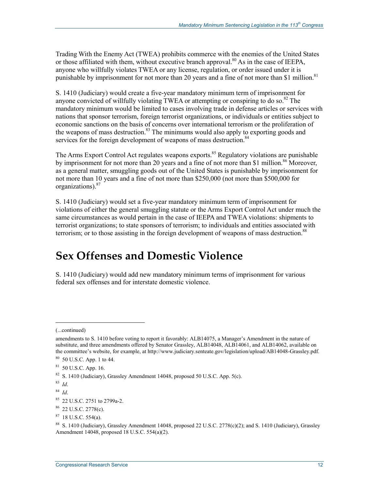Trading With the Enemy Act (TWEA) prohibits commerce with the enemies of the United States or those affiliated with them, without executive branch approval.<sup>80</sup> As in the case of IEEPA, anyone who willfully violates TWEA or any license, regulation, or order issued under it is punishable by imprisonment for not more than 20 years and a fine of not more than \$1 million.<sup>81</sup>

S. 1410 (Judiciary) would create a five-year mandatory minimum term of imprisonment for anyone convicted of willfully violating TWEA or attempting or conspiring to do so.<sup>82</sup> The mandatory minimum would be limited to cases involving trade in defense articles or services with nations that sponsor terrorism, foreign terrorist organizations, or individuals or entities subject to economic sanctions on the basis of concerns over international terrorism or the proliferation of the weapons of mass destruction.<sup>83</sup> The minimums would also apply to exporting goods and services for the foreign development of weapons of mass destruction.<sup>84</sup>

The Arms Export Control Act regulates weapons exports.<sup>85</sup> Regulatory violations are punishable by imprisonment for not more than 20 years and a fine of not more than \$1 million.<sup>86</sup> Moreover, as a general matter, smuggling goods out of the United States is punishable by imprisonment for not more than 10 years and a fine of not more than \$250,000 (not more than \$500,000 for organizations).<sup>87</sup>

S. 1410 (Judiciary) would set a five-year mandatory minimum term of imprisonment for violations of either the general smuggling statute or the Arms Export Control Act under much the same circumstances as would pertain in the case of IEEPA and TWEA violations: shipments to terrorist organizations; to state sponsors of terrorism; to individuals and entities associated with terrorism; or to those assisting in the foreign development of weapons of mass destruction.<sup>88</sup>

# **Sex Offenses and Domestic Violence**

S. 1410 (Judiciary) would add new mandatory minimum terms of imprisonment for various federal sex offenses and for interstate domestic violence.

 $\overline{a}$ 

87 18 U.S.C. 554(a).

<sup>(...</sup>continued)

amendments to S. 1410 before voting to report it favorably: ALB14075, a Manager's Amendment in the nature of substitute, and three amendments offered by Senator Grassley, ALB14048, ALB14061, and ALB14062, available on the committee's website, for example, at http://www.judiciary.senteate.gov/legislation/upload/AB14048-Grassley.pdf.

<sup>80 50</sup> U.S.C. App. 1 to 44.

<sup>81 50</sup> U.S.C. App. 16.

<sup>82</sup> S. 1410 (Judiciary), Grassley Amendment 14048, proposed 50 U.S.C. App. 5(c).

<sup>83</sup> *Id*.

<sup>84</sup> *Id*.

<sup>85 22</sup> U.S.C. 2751 to 2799a-2.

<sup>86 22</sup> U.S.C. 2778(c).

<sup>&</sup>lt;sup>88</sup> S. 1410 (Judiciary), Grassley Amendment 14048, proposed 22 U.S.C. 2778(c)(2); and S. 1410 (Judiciary), Grassley Amendment 14048, proposed 18 U.S.C. 554(a)(2).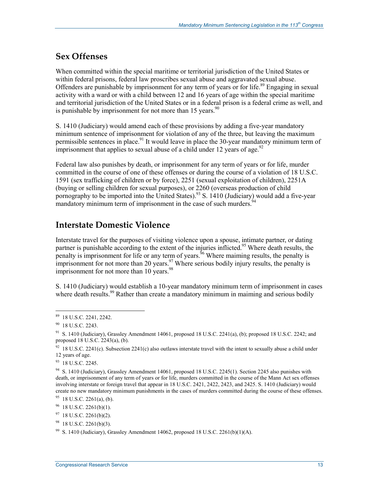## **Sex Offenses**

When committed within the special maritime or territorial jurisdiction of the United States or within federal prisons, federal law proscribes sexual abuse and aggravated sexual abuse. Offenders are punishable by imprisonment for any term of years or for life.<sup>89</sup> Engaging in sexual activity with a ward or with a child between 12 and 16 years of age within the special maritime and territorial jurisdiction of the United States or in a federal prison is a federal crime as well, and is punishable by imprisonment for not more than 15 years.  $90$ 

S. 1410 (Judiciary) would amend each of these provisions by adding a five-year mandatory minimum sentence of imprisonment for violation of any of the three, but leaving the maximum permissible sentences in place.<sup>91</sup> It would leave in place the 30-year mandatory minimum term of imprisonment that applies to sexual abuse of a child under 12 years of age.<sup>92</sup>

Federal law also punishes by death, or imprisonment for any term of years or for life, murder committed in the course of one of these offenses or during the course of a violation of 18 U.S.C. 1591 (sex trafficking of children or by force), 2251 (sexual exploitation of children), 2251A (buying or selling children for sexual purposes), or 2260 (overseas production of child pornography to be imported into the United States).<sup>93</sup> S. 1410 (Judiciary) would add a five-year  $\frac{1}{2}$  mandatory minimum term of imprisonment in the case of such murders.

## **Interstate Domestic Violence**

Interstate travel for the purposes of visiting violence upon a spouse, intimate partner, or dating partner is punishable according to the extent of the injuries inflicted.<sup>95</sup> Where death results, the penalty is imprisonment for life or any term of years.<sup>96</sup> Where maiming results, the penalty is imprisonment for not more than 20 years.<sup>97</sup> Where serious bodily injury results, the penalty is imprisonment for not more than 10 years. $98$ 

S. 1410 (Judiciary) would establish a 10-year mandatory minimum term of imprisonment in cases where death results.<sup>99</sup> Rather than create a mandatory minimum in maiming and serious bodily

<u>.</u>

<sup>89 18</sup> U.S.C. 2241, 2242.

<sup>&</sup>lt;sup>90</sup> 18 U.S.C. 2243.

<sup>&</sup>lt;sup>91</sup> S. 1410 (Judiciary), Grassley Amendment 14061, proposed 18 U.S.C. 2241(a), (b); proposed 18 U.S.C. 2242; and proposed 18 U.S.C. 2243(a), (b).

 $92$  18 U.S.C. 2241(c). Subsection 2241(c) also outlaws interstate travel with the intent to sexually abuse a child under 12 years of age.

<sup>93 18</sup> U.S.C. 2245.

<sup>&</sup>lt;sup>94</sup> S. 1410 (Judiciary), Grassley Amendment 14061, proposed 18 U.S.C. 2245(1). Section 2245 also punishes with death, or imprisonment of any term of years or for life, murders committed in the course of the Mann Act sex offenses involving interstate or foreign travel that appear in 18 U.S.C. 2421, 2422, 2423, and 2425. S. 1410 (Judiciary) would create no new mandatory minimum punishments in the cases of murders committed during the course of these offenses.

 $95$  18 U.S.C. 2261(a), (b).

 $96$  18 U.S.C. 2261(b)(1).

 $97$  18 U.S.C. 2261(b)(2).

 $98$  18 U.S.C. 2261(b)(3).

<sup>&</sup>lt;sup>99</sup> S. 1410 (Judiciary), Grassley Amendment 14062, proposed 18 U.S.C. 2261(b)(1)(A).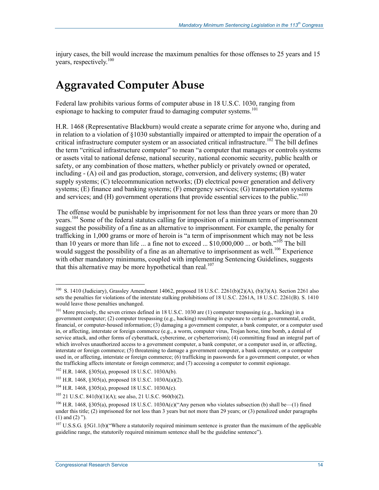injury cases, the bill would increase the maximum penalties for those offenses to 25 years and 15 years, respectively.<sup>100</sup>

## **Aggravated Computer Abuse**

Federal law prohibits various forms of computer abuse in 18 U.S.C. 1030, ranging from espionage to hacking to computer fraud to damaging computer systems.<sup>101</sup>

H.R. 1468 (Representative Blackburn) would create a separate crime for anyone who, during and in relation to a violation of §1030 substantially impaired or attempted to impair the operation of a critical infrastructure computer system or an associated critical infrastructure.<sup>102</sup> The bill defines the term "critical infrastructure computer" to mean "a computer that manages or controls systems or assets vital to national defense, national security, national economic security, public health or safety, or any combination of those matters, whether publicly or privately owned or operated, including - (A) oil and gas production, storage, conversion, and delivery systems; (B) water supply systems; (C) telecommunication networks; (D) electrical power generation and delivery systems; (E) finance and banking systems; (F) emergency services; (G) transportation systems and services; and (H) government operations that provide essential services to the public."<sup>103</sup>

 The offense would be punishable by imprisonment for not less than three years or more than 20 years.<sup>104</sup> Some of the federal statutes calling for imposition of a minimum term of imprisonment suggest the possibility of a fine as an alternative to imprisonment. For example, the penalty for trafficking in 1,000 grams or more of heroin is "a term of imprisonment which may not be less than 10 years or more than life ... a fine not to exceed ...  $$10,000,000$  ... or both."<sup>105</sup> The bill would suggest the possibility of a fine as an alternative to imprisonment as well.<sup>106</sup> Experience with other mandatory minimums, coupled with implementing Sentencing Guidelines, suggests that this alternative may be more hypothetical than real.<sup>107</sup>

<u>.</u>

<sup>&</sup>lt;sup>100</sup> S. 1410 (Judiciary), Grassley Amendment 14062, proposed 18 U.S.C. 2261(b)(2)(A), (b)(3)(A). Section 2261 also sets the penalties for violations of the interstate stalking prohibitions of 18 U.S.C. 2261A, 18 U.S.C. 2261(B). S. 1410 would leave those penalties unchanged.

<sup>&</sup>lt;sup>101</sup> More precisely, the seven crimes defined in 18 U.S.C. 1030 are (1) computer trespassing (e.g., hacking) in a government computer; (2) computer trespassing (e.g., hacking) resulting in exposure to certain governmental, credit, financial, or computer-housed information; (3) damaging a government computer, a bank computer, or a computer used in, or affecting, interstate or foreign commerce (e.g., a worm, computer virus, Trojan horse, time bomb, a denial of service attack, and other forms of cyberattack, cybercrime, or cyberterrorism); (4) committing fraud an integral part of which involves unauthorized access to a government computer, a bank computer, or a computer used in, or affecting, interstate or foreign commerce; (5) threatening to damage a government computer, a bank computer, or a computer used in, or affecting, interstate or foreign commerce; (6) trafficking in passwords for a government computer, or when the trafficking affects interstate or foreign commerce; and (7) accessing a computer to commit espionage.

 $102$  H.R. 1468, §305(a), proposed 18 U.S.C. 1030A(b).

<sup>103</sup> H.R. 1468, §305(a), proposed 18 U.S.C. 1030A(a)(2).

 $104$  H.R. 1468, §305(a), proposed 18 U.S.C. 1030A(c).

 $105$  21 U.S.C. 841(b)(1)(A); see also, 21 U.S.C. 960(b)(2).

 $106$  H.R. 1468, §305(a), proposed 18 U.S.C. 1030A(c)("Any person who violates subsection (b) shall be—(1) fined under this title; (2) imprisoned for not less than 3 years but not more than 29 years; or (3) penalized under paragraphs (1) and (2) ").

 $107$  U.S.S.G. §5G1.1(b)("Where a statutorily required minimum sentence is greater than the maximum of the applicable guideline range, the statutorily required minimum sentence shall be the guideline sentence").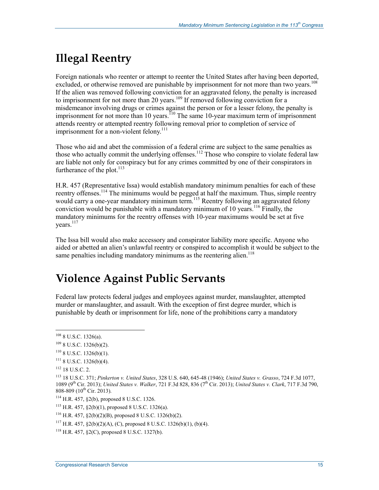# **Illegal Reentry**

Foreign nationals who reenter or attempt to reenter the United States after having been deported, excluded, or otherwise removed are punishable by imprisonment for not more than two years.<sup>108</sup> If the alien was removed following conviction for an aggravated felony, the penalty is increased to imprisonment for not more than 20 years.<sup>109</sup> If removed following conviction for a misdemeanor involving drugs or crimes against the person or for a lesser felony, the penalty is imprisonment for not more than 10 years.<sup>110</sup> The same 10-year maximum term of imprisonment attends reentry or attempted reentry following removal prior to completion of service of imprisonment for a non-violent felony.<sup>111</sup>

Those who aid and abet the commission of a federal crime are subject to the same penalties as those who actually commit the underlying offenses.<sup>112</sup> Those who conspire to violate federal law are liable not only for conspiracy but for any crimes committed by one of their conspirators in furtherance of the plot.<sup>113</sup>

H.R. 457 (Representative Issa) would establish mandatory minimum penalties for each of these reentry offenses.<sup>114</sup> The minimums would be pegged at half the maximum. Thus, simple reentry would carry a one-year mandatory minimum term.<sup>115</sup> Reentry following an aggravated felony conviction would be punishable with a mandatory minimum of 10 years.<sup>116</sup> Finally, the mandatory minimums for the reentry offenses with 10-year maximums would be set at five years.<sup>117</sup>

The Issa bill would also make accessory and conspirator liability more specific. Anyone who aided or abetted an alien's unlawful reentry or conspired to accomplish it would be subject to the same penalties including mandatory minimums as the reentering alien.<sup>118</sup>

# **Violence Against Public Servants**

Federal law protects federal judges and employees against murder, manslaughter, attempted murder or manslaughter, and assault. With the exception of first degree murder, which is punishable by death or imprisonment for life, none of the prohibitions carry a mandatory

<u>.</u>

 $108$  8 U.S.C. 1326(a).

 $109$  8 U.S.C. 1326(b)(2).

 $110$  8 U.S.C. 1326(b)(1).

 $111$  8 U.S.C. 1326(b)(4).

 $112$  18 U.S.C. 2.

<sup>113 18</sup> U.S.C. 371; *Pinkerton v. United States*, 328 U.S. 640, 645-48 (1946); *United States v. Grasso*, 724 F.3d 1077, 1089 (9th Cir. 2013); *United States v. Walker*, 721 F.3d 828, 836 (7th Cir. 2013); *United States v. Clark*, 717 F.3d 790, 808-809 (10<sup>th</sup> Cir. 2013).

<sup>114</sup> H.R. 457, §2(b), proposed 8 U.S.C. 1326.

 $115$  H.R. 457, §2(b)(1), proposed 8 U.S.C. 1326(a).

<sup>116</sup> H.R. 457, §2(b)(2)(B), proposed 8 U.S.C. 1326(b)(2).

 $117$  H.R. 457, §2(b)(2)(A), (C), proposed 8 U.S.C. 1326(b)(1), (b)(4).

 $118$  H.R. 457,  $\S2(C)$ , proposed 8 U.S.C. 1327(b).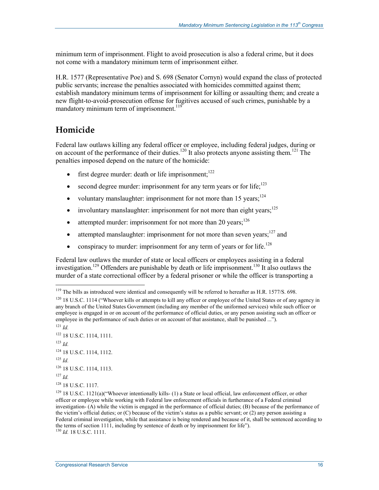minimum term of imprisonment. Flight to avoid prosecution is also a federal crime, but it does not come with a mandatory minimum term of imprisonment either.

H.R. 1577 (Representative Poe) and S. 698 (Senator Cornyn) would expand the class of protected public servants; increase the penalties associated with homicides committed against them; establish mandatory minimum terms of imprisonment for killing or assaulting them; and create a new flight-to-avoid-prosecution offense for fugitives accused of such crimes, punishable by a mandatory minimum term of imprisonment.<sup>119</sup>

## **Homicide**

Federal law outlaws killing any federal officer or employee, including federal judges, during or on account of the performance of their duties.<sup>120</sup> It also protects anyone assisting them.<sup>121</sup> The penalties imposed depend on the nature of the homicide:

- first degree murder: death or life imprisonment; $122$
- second degree murder: imprisonment for any term years or for life; $^{123}$
- voluntary manslaughter: imprisonment for not more than  $15$  years;<sup>124</sup>
- involuntary manslaughter: imprisonment for not more than eight years; $125$
- attempted murder: imprisonment for not more than 20 years; $126$
- attempted manslaughter: imprisonment for not more than seven years; $127$  and
- conspiracy to murder: imprisonment for any term of years or for life.<sup>128</sup>

Federal law outlaws the murder of state or local officers or employees assisting in a federal investigation.<sup>129</sup> Offenders are punishable by death or life imprisonment.<sup>130</sup> It also outlaws the murder of a state correctional officer by a federal prisoner or while the officer is transporting a

<sup>&</sup>lt;sup>119</sup> The bills as introduced were identical and consequently will be referred to hereafter as H.R. 1577/S. 698.

<sup>&</sup>lt;sup>120</sup> 18 U.S.C. 1114 ("Whoever kills or attempts to kill any officer or employee of the United States or of any agency in any branch of the United States Government (including any member of the uniformed services) while such officer or employee is engaged in or on account of the performance of official duties, or any person assisting such an officer or employee in the performance of such duties or on account of that assistance, shall be punished ..."). <sup>121</sup> *Id.*

<sup>122 18</sup> U.S.C. 1114, 1111.  $123$  *Id.* <sup>124</sup> 18 U.S.C. 1114, 1112.  $125$  *Id.* 126 18 U.S.C. 1114, 1113.  $^{127}$  *Id.* 128 18 U.S.C. 1117.

 $129$  18 U.S.C. 1121(a)("Whoever intentionally kills- (1) a State or local official, law enforcement officer, or other officer or employee while working with Federal law enforcement officials in furtherance of a Federal criminal investigation- (A) while the victim is engaged in the performance of official duties; (B) because of the performance of the victim's official duties; or (C) because of the victim's status as a public servant; or (2) any person assisting a Federal criminal investigation, while that assistance is being rendered and because of it, shall be sentenced according to the terms of section 1111, including by sentence of death or by imprisonment for life"). <sup>130</sup> *Id.* 18 U.S.C. 1111.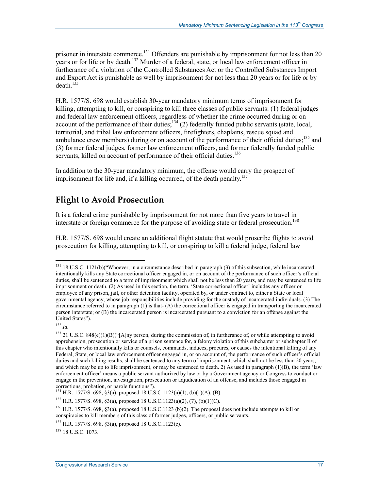prisoner in interstate commerce.<sup>131</sup> Offenders are punishable by imprisonment for not less than 20 years or for life or by death.<sup>132</sup> Murder of a federal, state, or local law enforcement officer in furtherance of a violation of the Controlled Substances Act or the Controlled Substances Import and Export Act is punishable as well by imprisonment for not less than 20 years or for life or by  $death<sup>133</sup>$ 

H.R. 1577/S. 698 would establish 30-year mandatory minimum terms of imprisonment for killing, attempting to kill, or conspiring to kill three classes of public servants: (1) federal judges and federal law enforcement officers, regardless of whether the crime occurred during or on account of the performance of their duties; $134$  (2) federally funded public servants (state, local, territorial, and tribal law enforcement officers, firefighters, chaplains, rescue squad and ambulance crew members) during or on account of the performance of their official duties;<sup>135</sup> and (3) former federal judges, former law enforcement officers, and former federally funded public servants, killed on account of performance of their official duties.<sup>136</sup>

In addition to the 30-year mandatory minimum, the offense would carry the prospect of imprisonment for life and, if a killing occurred, of the death penalty.<sup>137</sup>

## **Flight to Avoid Prosecution**

It is a federal crime punishable by imprisonment for not more than five years to travel in interstate or foreign commerce for the purpose of avoiding state or federal prosecution.<sup>138</sup>

H.R. 1577/S. 698 would create an additional flight statute that would proscribe flights to avoid prosecution for killing, attempting to kill, or conspiring to kill a federal judge, federal law

 $132$  *Id.* 

1

134 H.R. 1577/S. 698, §3(a), proposed 18 U.S.C.1123(a)(1), (b)(1)(A), (B).

 $135$  H.R. 1577/S. 698, §3(a), proposed 18 U.S.C.1123(a)(2), (7), (b)(1)(C).

<sup>136</sup> H.R. 1577/S. 698, §3(a), proposed 18 U.S.C.1123 (b)(2). The proposal does not include attempts to kill or conspiracies to kill members of this class of former judges, officers, or public servants.

<sup>138</sup> 18 U.S.C. 1073.

<sup>&</sup>lt;sup>131</sup> 18 U.S.C. 1121(b)("Whoever, in a circumstance described in paragraph (3) of this subsection, while incarcerated, intentionally kills any State correctional officer engaged in, or on account of the performance of such officer's official duties, shall be sentenced to a term of imprisonment which shall not be less than 20 years, and may be sentenced to life imprisonment or death. (2) As used in this section, the term, 'State correctional officer' includes any officer or employee of any prison, jail, or other detention facility, operated by, or under contract to, either a State or local governmental agency, whose job responsibilities include providing for the custody of incarcerated individuals. (3) The circumstance referred to in paragraph (1) is that- (A) the correctional officer is engaged in transporting the incarcerated person interstate; or (B) the incarcerated person is incarcerated pursuant to a conviction for an offense against the United States").

<sup>&</sup>lt;sup>133</sup> 21 U.S.C. 848(e)(1)(B)("[A]ny person, during the commission of, in furtherance of, or while attempting to avoid apprehension, prosecution or service of a prison sentence for, a felony violation of this subchapter or subchapter II of this chapter who intentionally kills or counsels, commands, induces, procures, or causes the intentional killing of any Federal, State, or local law enforcement officer engaged in, or on account of, the performance of such officer's official duties and such killing results, shall be sentenced to any term of imprisonment, which shall not be less than 20 years, and which may be up to life imprisonment, or may be sentenced to death. 2) As used in paragraph (1)(B), the term 'law enforcement officer' means a public servant authorized by law or by a Government agency or Congress to conduct or engage in the prevention, investigation, prosecution or adjudication of an offense, and includes those engaged in corrections, probation, or parole functions").

<sup>137</sup> H.R. 1577/S. 698, §3(a), proposed 18 U.S.C.1123(c).